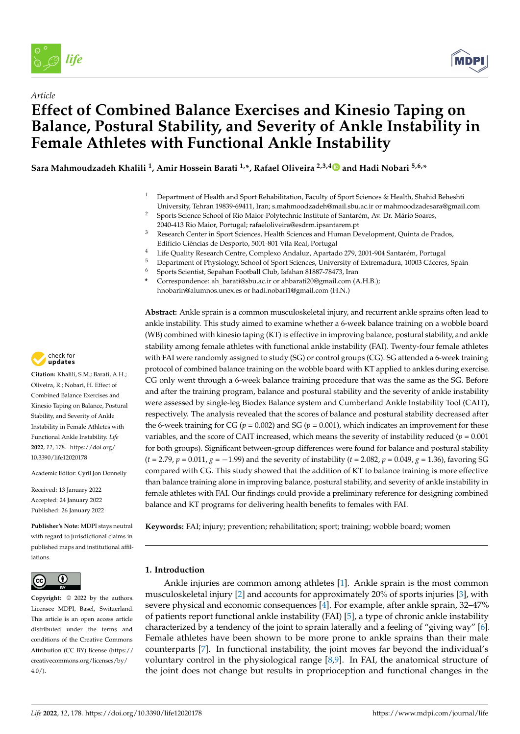

*Article*



# **Effect of Combined Balance Exercises and Kinesio Taping on Balance, Postural Stability, and Severity of Ankle Instability in Female Athletes with Functional Ankle Instability**

**Sara Mahmoudzadeh Khalili <sup>1</sup> , Amir Hossein Barati 1,\*, Rafael Oliveira 2,3,[4](https://orcid.org/0000-0001-6671-6229) and Hadi Nobari 5,6,\***

- <sup>1</sup> Department of Health and Sport Rehabilitation, Faculty of Sport Sciences & Health, Shahid Beheshti University, Tehran 19839-69411, Iran; s.mahmoodzadeh@mail.sbu.ac.ir or mahmoodzadesara@gmail.com
- <sup>2</sup> Sports Science School of Rio Maior-Polytechnic Institute of Santarém, Av. Dr. Mário Soares, 2040-413 Rio Maior, Portugal; rafaeloliveira@esdrm.ipsantarem.pt
- <sup>3</sup> Research Center in Sport Sciences, Health Sciences and Human Development, Quinta de Prados, Edifício Ciências de Desporto, 5001-801 Vila Real, Portugal
- <sup>4</sup> Life Quality Research Centre, Complexo Andaluz, Apartado 279, 2001-904 Santarém, Portugal
- <sup>5</sup> Department of Physiology, School of Sport Sciences, University of Extremadura, 10003 Cáceres, Spain<br><sup>6</sup> Sports Scientist, Sepaban Football Club, Jsfaban 81887-78473, Jran
- <sup>6</sup> Sports Scientist, Sepahan Football Club, Isfahan 81887-78473, Iran
- **\*** Correspondence: ah\_barati@sbu.ac.ir or ahbarati20@gmail.com (A.H.B.); hnobarin@alumnos.unex.es or hadi.nobari1@gmail.com (H.N.)

**Abstract:** Ankle sprain is a common musculoskeletal injury, and recurrent ankle sprains often lead to ankle instability. This study aimed to examine whether a 6-week balance training on a wobble board (WB) combined with kinesio taping (KT) is effective in improving balance, postural stability, and ankle stability among female athletes with functional ankle instability (FAI). Twenty-four female athletes with FAI were randomly assigned to study (SG) or control groups (CG). SG attended a 6-week training protocol of combined balance training on the wobble board with KT applied to ankles during exercise. CG only went through a 6-week balance training procedure that was the same as the SG. Before and after the training program, balance and postural stability and the severity of ankle instability were assessed by single-leg Biodex Balance system and Cumberland Ankle Instability Tool (CAIT), respectively. The analysis revealed that the scores of balance and postural stability decreased after the 6-week training for CG ( $p = 0.002$ ) and SG ( $p = 0.001$ ), which indicates an improvement for these variables, and the score of CAIT increased, which means the severity of instability reduced (*p* = 0.001 for both groups). Significant between-group differences were found for balance and postural stability (*t* = 2.79, *p* = 0.011, *g* = −1.99) and the severity of instability (*t* = 2.082, *p* = 0.049, *g* = 1.36), favoring SG compared with CG. This study showed that the addition of KT to balance training is more effective than balance training alone in improving balance, postural stability, and severity of ankle instability in female athletes with FAI. Our findings could provide a preliminary reference for designing combined balance and KT programs for delivering health benefits to females with FAI.

**Keywords:** FAI; injury; prevention; rehabilitation; sport; training; wobble board; women

# **1. Introduction**

Ankle injuries are common among athletes [\[1\]](#page-8-0). Ankle sprain is the most common musculoskeletal injury [\[2\]](#page-8-1) and accounts for approximately 20% of sports injuries [\[3\]](#page-8-2), with severe physical and economic consequences [\[4\]](#page-8-3). For example, after ankle sprain, 32–47% of patients report functional ankle instability (FAI) [\[5\]](#page-8-4), a type of chronic ankle instability characterized by a tendency of the joint to sprain laterally and a feeling of "giving way" [\[6\]](#page-8-5). Female athletes have been shown to be more prone to ankle sprains than their male counterparts [\[7\]](#page-8-6). In functional instability, the joint moves far beyond the individual's voluntary control in the physiological range [\[8,](#page-8-7)[9\]](#page-9-0). In FAI, the anatomical structure of the joint does not change but results in proprioception and functional changes in the



**Citation:** Khalili, S.M.; Barati, A.H.; Oliveira, R.; Nobari, H. Effect of Combined Balance Exercises and Kinesio Taping on Balance, Postural Stability, and Severity of Ankle Instability in Female Athletes with Functional Ankle Instability. *Life* **2022**, *12*, 178. [https://doi.org/](https://doi.org/10.3390/life12020178) [10.3390/life12020178](https://doi.org/10.3390/life12020178) *[life](https://www.mdpi.com/journal/life)*<br>
Article<br> **Effect of Galance, Female A**<br> **Female A**<br>
Sara Mahmoudza<br>
Sara Mahmoudza<br>
Magnetic Exercity, and Severity of A<br>
Sara Mahmoudza<br>
2022, 12, 178. https://do<br>
2022, 12, 178. https://do<br>
2022, 12, 178. https:/

Academic Editor: Cyril Jon Donnelly

Received: 13 January 2022 Accepted: 24 January 2022 Published: 26 January 2022

**Publisher's Note:** MDPI stays neutral with regard to jurisdictional claims in published maps and institutional affiliations.



**Copyright:** © 2022 by the authors. Licensee MDPI, Basel, Switzerland. This article is an open access article distributed under the terms and conditions of the Creative Commons Attribution (CC BY) license [\(https://](https://creativecommons.org/licenses/by/4.0/) [creativecommons.org/licenses/by/](https://creativecommons.org/licenses/by/4.0/)  $4.0/$ ).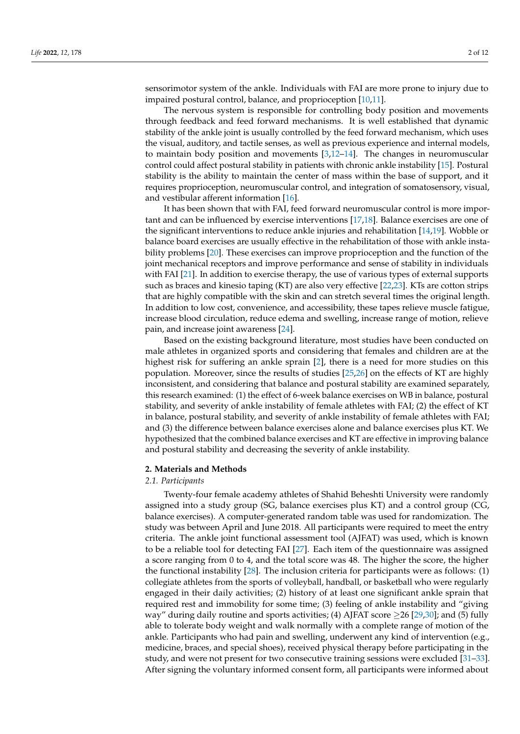sensorimotor system of the ankle. Individuals with FAI are more prone to injury due to impaired postural control, balance, and proprioception [\[10,](#page-9-1)[11\]](#page-9-2).

The nervous system is responsible for controlling body position and movements through feedback and feed forward mechanisms. It is well established that dynamic stability of the ankle joint is usually controlled by the feed forward mechanism, which uses the visual, auditory, and tactile senses, as well as previous experience and internal models, to maintain body position and movements [\[3,](#page-8-2)[12](#page-9-3)[–14\]](#page-9-4). The changes in neuromuscular control could affect postural stability in patients with chronic ankle instability [\[15\]](#page-9-5). Postural stability is the ability to maintain the center of mass within the base of support, and it requires proprioception, neuromuscular control, and integration of somatosensory, visual, and vestibular afferent information [\[16\]](#page-9-6).

It has been shown that with FAI, feed forward neuromuscular control is more important and can be influenced by exercise interventions [\[17](#page-9-7)[,18\]](#page-9-8). Balance exercises are one of the significant interventions to reduce ankle injuries and rehabilitation [\[14](#page-9-4)[,19\]](#page-9-9). Wobble or balance board exercises are usually effective in the rehabilitation of those with ankle instability problems [\[20\]](#page-9-10). These exercises can improve proprioception and the function of the joint mechanical receptors and improve performance and sense of stability in individuals with FAI [\[21\]](#page-9-11). In addition to exercise therapy, the use of various types of external supports such as braces and kinesio taping (KT) are also very effective [\[22](#page-9-12)[,23\]](#page-9-13). KTs are cotton strips that are highly compatible with the skin and can stretch several times the original length. In addition to low cost, convenience, and accessibility, these tapes relieve muscle fatigue, increase blood circulation, reduce edema and swelling, increase range of motion, relieve pain, and increase joint awareness [\[24\]](#page-9-14).

Based on the existing background literature, most studies have been conducted on male athletes in organized sports and considering that females and children are at the highest risk for suffering an ankle sprain [\[2\]](#page-8-1), there is a need for more studies on this population. Moreover, since the results of studies [\[25,](#page-9-15)[26\]](#page-9-16) on the effects of KT are highly inconsistent, and considering that balance and postural stability are examined separately, this research examined: (1) the effect of 6-week balance exercises on WB in balance, postural stability, and severity of ankle instability of female athletes with FAI; (2) the effect of KT in balance, postural stability, and severity of ankle instability of female athletes with FAI; and (3) the difference between balance exercises alone and balance exercises plus KT. We hypothesized that the combined balance exercises and KT are effective in improving balance and postural stability and decreasing the severity of ankle instability.

#### **2. Materials and Methods**

### *2.1. Participants*

Twenty-four female academy athletes of Shahid Beheshti University were randomly assigned into a study group (SG, balance exercises plus KT) and a control group (CG, balance exercises). A computer-generated random table was used for randomization. The study was between April and June 2018. All participants were required to meet the entry criteria. The ankle joint functional assessment tool (AJFAT) was used, which is known to be a reliable tool for detecting FAI [\[27\]](#page-9-17). Each item of the questionnaire was assigned a score ranging from 0 to 4, and the total score was 48. The higher the score, the higher the functional instability [\[28\]](#page-9-18). The inclusion criteria for participants were as follows: (1) collegiate athletes from the sports of volleyball, handball, or basketball who were regularly engaged in their daily activities; (2) history of at least one significant ankle sprain that required rest and immobility for some time; (3) feeling of ankle instability and "giving way" during daily routine and sports activities; (4) AJFAT score  $\geq$ 26 [\[29](#page-9-19)[,30\]](#page-9-20); and (5) fully able to tolerate body weight and walk normally with a complete range of motion of the ankle. Participants who had pain and swelling, underwent any kind of intervention (e.g., medicine, braces, and special shoes), received physical therapy before participating in the study, and were not present for two consecutive training sessions were excluded [\[31](#page-9-21)[–33\]](#page-9-22). After signing the voluntary informed consent form, all participants were informed about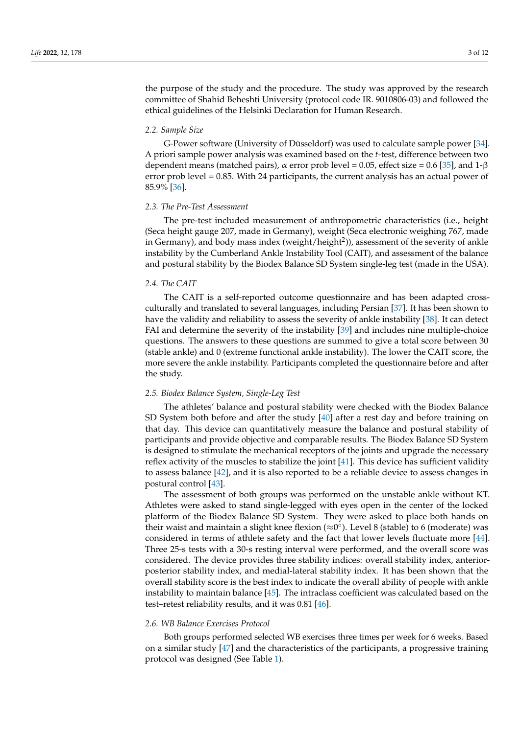the purpose of the study and the procedure. The study was approved by the research committee of Shahid Beheshti University (protocol code IR. 9010806-03) and followed the ethical guidelines of the Helsinki Declaration for Human Research.

# *2.2. Sample Size*

G-Power software (University of Düsseldorf) was used to calculate sample power [\[34\]](#page-9-23). A priori sample power analysis was examined based on the *t*-test, difference between two dependent means (matched pairs),  $\alpha$  error prob level = 0.05, effect size = 0.6 [\[35\]](#page-9-24), and 1- $\beta$ error prob level = 0.85. With 24 participants, the current analysis has an actual power of 85.9% [\[36\]](#page-9-25).

#### *2.3. The Pre-Test Assessment*

The pre-test included measurement of anthropometric characteristics (i.e., height (Seca height gauge 207, made in Germany), weight (Seca electronic weighing 767, made in Germany), and body mass index (weight/height<sup>2</sup>)), assessment of the severity of ankle instability by the Cumberland Ankle Instability Tool (CAIT), and assessment of the balance and postural stability by the Biodex Balance SD System single-leg test (made in the USA).

# *2.4. The CAIT*

The CAIT is a self-reported outcome questionnaire and has been adapted crossculturally and translated to several languages, including Persian [\[37\]](#page-10-0). It has been shown to have the validity and reliability to assess the severity of ankle instability [\[38\]](#page-10-1). It can detect FAI and determine the severity of the instability [\[39\]](#page-10-2) and includes nine multiple-choice questions. The answers to these questions are summed to give a total score between 30 (stable ankle) and 0 (extreme functional ankle instability). The lower the CAIT score, the more severe the ankle instability. Participants completed the questionnaire before and after the study.

### *2.5. Biodex Balance System, Single-Leg Test*

The athletes' balance and postural stability were checked with the Biodex Balance SD System both before and after the study [\[40\]](#page-10-3) after a rest day and before training on that day. This device can quantitatively measure the balance and postural stability of participants and provide objective and comparable results. The Biodex Balance SD System is designed to stimulate the mechanical receptors of the joints and upgrade the necessary reflex activity of the muscles to stabilize the joint [\[41\]](#page-10-4). This device has sufficient validity to assess balance [\[42\]](#page-10-5), and it is also reported to be a reliable device to assess changes in postural control [\[43\]](#page-10-6).

The assessment of both groups was performed on the unstable ankle without KT. Athletes were asked to stand single-legged with eyes open in the center of the locked platform of the Biodex Balance SD System. They were asked to place both hands on their waist and maintain a slight knee flexion ( $\approx\!\!0^\circ$ ). Level 8 (stable) to 6 (moderate) was considered in terms of athlete safety and the fact that lower levels fluctuate more [\[44\]](#page-10-7). Three 25-s tests with a 30-s resting interval were performed, and the overall score was considered. The device provides three stability indices: overall stability index, anteriorposterior stability index, and medial-lateral stability index. It has been shown that the overall stability score is the best index to indicate the overall ability of people with ankle instability to maintain balance [\[45\]](#page-10-8). The intraclass coefficient was calculated based on the test–retest reliability results, and it was 0.81 [\[46\]](#page-10-9).

# *2.6. WB Balance Exercises Protocol*

Both groups performed selected WB exercises three times per week for 6 weeks. Based on a similar study [\[47\]](#page-10-10) and the characteristics of the participants, a progressive training protocol was designed (See Table [1\)](#page-3-0).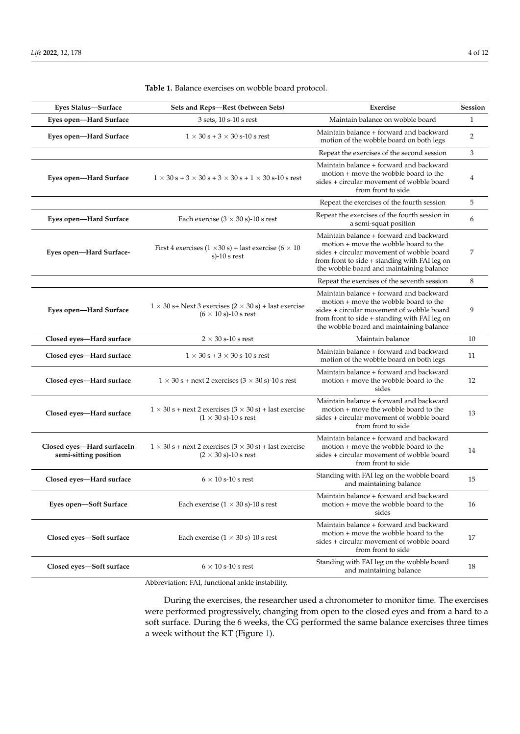| Eyes Status-Surface                                 | Sets and Reps-Rest (between Sets)                                                                                    | Exercise                                                                                                                                                                                                                   | Session        |
|-----------------------------------------------------|----------------------------------------------------------------------------------------------------------------------|----------------------------------------------------------------------------------------------------------------------------------------------------------------------------------------------------------------------------|----------------|
| Eyes open-Hard Surface                              | 3 sets, 10 s-10 s rest                                                                                               | Maintain balance on wobble board                                                                                                                                                                                           | $\mathbf{1}$   |
| Eyes open-Hard Surface                              | $1 \times 30$ s + 3 $\times$ 30 s-10 s rest                                                                          | Maintain balance + forward and backward<br>motion of the wobble board on both legs                                                                                                                                         | $\overline{2}$ |
|                                                     |                                                                                                                      | Repeat the exercises of the second session                                                                                                                                                                                 | 3              |
| Eyes open-Hard Surface                              | $1 \times 30$ s + 3 $\times$ 30 s + 3 $\times$ 30 s + 1 $\times$ 30 s-10 s rest                                      | Maintain balance + forward and backward<br>motion + move the wobble board to the<br>sides + circular movement of wobble board<br>from front to side                                                                        | 4              |
|                                                     |                                                                                                                      | Repeat the exercises of the fourth session                                                                                                                                                                                 | 5              |
| Eyes open-Hard Surface                              | Each exercise $(3 \times 30 \text{ s})$ -10 s rest                                                                   | Repeat the exercises of the fourth session in<br>a semi-squat position                                                                                                                                                     | 6              |
| Eyes open-Hard Surface-                             | First 4 exercises $(1 \times 30 \text{ s})$ + last exercise $(6 \times 10$<br>s $-10$ s rest                         | Maintain balance + forward and backward<br>motion + move the wobble board to the<br>sides + circular movement of wobble board<br>from front to side + standing with FAI leg on<br>the wobble board and maintaining balance | 7              |
|                                                     |                                                                                                                      | Repeat the exercises of the seventh session                                                                                                                                                                                | 8              |
| Eyes open-Hard Surface                              | $1 \times 30$ s+ Next 3 exercises $(2 \times 30 \text{ s})$ + last exercise<br>$(6 \times 10 \text{ s})$ -10 s rest  | Maintain balance + forward and backward<br>motion + move the wobble board to the<br>sides + circular movement of wobble board<br>from front to side + standing with FAI leg on<br>the wobble board and maintaining balance | 9              |
| Closed eyes-Hard surface                            | $2 \times 30$ s-10 s rest                                                                                            | Maintain balance                                                                                                                                                                                                           | 10             |
| Closed eyes-Hard surface                            | $1 \times 30$ s + 3 $\times$ 30 s-10 s rest                                                                          | Maintain balance + forward and backward<br>motion of the wobble board on both legs                                                                                                                                         | 11             |
| Closed eyes-Hard surface                            | $1 \times 30$ s + next 2 exercises $(3 \times 30$ s)-10 s rest                                                       | Maintain balance + forward and backward<br>motion + move the wobble board to the<br>sides                                                                                                                                  | 12             |
| Closed eyes-Hard surface                            | $1 \times 30$ s + next 2 exercises $(3 \times 30 \text{ s})$ + last exercise<br>$(1 \times 30 \text{ s})$ -10 s rest | Maintain balance + forward and backward<br>motion + move the wobble board to the<br>sides + circular movement of wobble board<br>from front to side                                                                        | 13             |
| Closed eyes-Hard surfaceIn<br>semi-sitting position | $1 \times 30$ s + next 2 exercises $(3 \times 30 \text{ s})$ + last exercise<br>$(2 \times 30 \text{ s})$ -10 s rest | Maintain balance + forward and backward<br>motion + move the wobble board to the<br>sides + circular movement of wobble board<br>from front to side                                                                        | 14             |
| Closed eyes-Hard surface                            | $6 \times 10$ s-10 s rest                                                                                            | Standing with FAI leg on the wobble board<br>and maintaining balance                                                                                                                                                       | 15             |
| Eyes open-Soft Surface                              | Each exercise $(1 \times 30 \text{ s})$ -10 s rest                                                                   | Maintain balance + forward and backward<br>motion + move the wobble board to the<br>sides                                                                                                                                  | 16             |
| Closed eyes-Soft surface                            | Each exercise $(1 \times 30 \text{ s})$ -10 s rest                                                                   | Maintain balance + forward and backward<br>motion + move the wobble board to the<br>sides + circular movement of wobble board<br>from front to side                                                                        | 17             |
| Closed eyes-Soft surface                            | $6 \times 10$ s-10 s rest                                                                                            | Standing with FAI leg on the wobble board<br>and maintaining balance                                                                                                                                                       | 18             |

<span id="page-3-0"></span>**Table 1.** Balance exercises on wobble board protocol.

Abbreviation: FAI, functional ankle instability.

During the exercises, the researcher used a chronometer to monitor time. The exercises were performed progressively, changing from open to the closed eyes and from a hard to a soft surface. During the 6 weeks, the CG performed the same balance exercises three times a week without the KT (Figure [1\)](#page-4-0).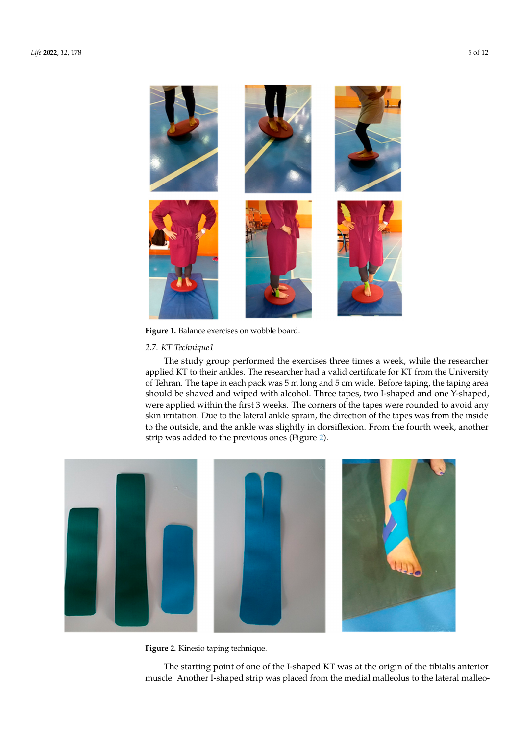<span id="page-4-0"></span>

**Figure 1.** Balance exercises on wobble board. **Figure 1.** Balance exercises on wobble board.

# *2.7. KT Technique1 2.7. KT Technique1*

<span id="page-4-1"></span>The study group performed the exercises three times a week, while the researcher The study group performed the exercises three times a week, while the researcher applied KT to their ankles. The researcher had a valid certificate for KT from the University<br>A second the University of Tehran. The tape in each pack was 5 m long and 5 cm wide. Before taping, the taping area should be shaved and wiped with alcohol. Three tapes, two I-shaped and one Y-shaped,<br> were applied within the first 3 weeks. The corners of the tapes were rounded to avoid any were applied within the first 3 weeks. The corners of the tapes were rounded to avoid any skin irritation. Due to the lateral ankle sprain, the direction of the tapes was from the inside to the outside, and the ankle was slightly in dorsiflexion. From the fourth week, another to the outside, and the ankle was slightly in dorsiflexion. From the fourth week, another strip was added to the previous ones (Figure [2\)](#page-4-1). from the outside to the angle was slightly in dorsification. From the fourth week, and the  $\frac{1}{2}$ 



**Figure 2.** Kinesio taping technique*.*  **Figure 2.** Kinesio taping technique.

The starting point of one of the I-shaped KT was at the origin of the tibialis anterior The starting point of one of the I-shaped KT was at the origin of the tibialis anterior muscle. Another I-shaped strip was placed from the medial malleolus to the lateral malleo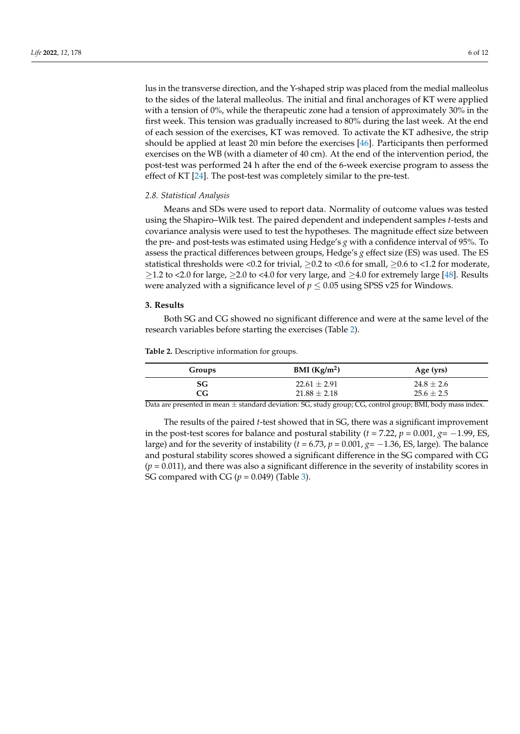lus in the transverse direction, and the Y-shaped strip was placed from the medial malleolus to the sides of the lateral malleolus. The initial and final anchorages of KT were applied with a tension of  $0\%$ , while the therapeutic zone had a tension of approximately  $30\%$  in the first week. This tension was gradually increased to 80% during the last week. At the end of each session of the exercises, KT was removed. To activate the KT adhesive, the strip should be applied at least 20 min before the exercises [\[46\]](#page-10-9). Participants then performed exercises on the WB (with a diameter of 40 cm). At the end of the intervention period, the post-test was performed 24 h after the end of the 6-week exercise program to assess the effect of KT [\[24\]](#page-9-14). The post-test was completely similar to the pre-test.

#### *2.8. Statistical Analysis*

Means and SDs were used to report data. Normality of outcome values was tested using the Shapiro–Wilk test. The paired dependent and independent samples *t*-tests and covariance analysis were used to test the hypotheses. The magnitude effect size between the pre- and post-tests was estimated using Hedge's *g* with a confidence interval of 95%. To assess the practical differences between groups, Hedge's *g* effect size (ES) was used. The ES statistical thresholds were <0.2 for trivial,  $\geq$ 0.2 to <0.6 for small,  $\geq$ 0.6 to <1.2 for moderate,  $≥1.2$  to <2.0 for large,  $≥2.0$  to <4.0 for very large, and  $≥4.0$  for extremely large [\[48\]](#page-10-11). Results were analyzed with a significance level of  $p \leq 0.05$  using SPSS v25 for Windows.

# **3. Results**

Both SG and CG showed no significant difference and were at the same level of the research variables before starting the exercises (Table [2\)](#page-5-0).

<span id="page-5-0"></span>**Table 2.** Descriptive information for groups.

| Groups                          | BMI $(Kg/m^2)$   | Age (yrs)      |
|---------------------------------|------------------|----------------|
| SG.                             | $22.61 \pm 2.91$ | $24.8 \pm 2.6$ |
| CG.                             | $21.88 \pm 2.18$ | $25.6 \pm 2.5$ |
| . .<br>$\overline{\phantom{a}}$ | .<br>$ -$<br>___ | _____          |

Data are presented in mean  $\pm$  standard deviation: SG, study group; CG, control group; BMI, body mass index.

The results of the paired *t*-test showed that in SG, there was a significant improvement in the post-test scores for balance and postural stability ( $t = 7.22$ ,  $p = 0.001$ ,  $g = -1.99$ , ES, large) and for the severity of instability ( $t = 6.73$ ,  $p = 0.001$ ,  $g = -1.36$ , ES, large). The balance and postural stability scores showed a significant difference in the SG compared with CG  $(p = 0.011)$ , and there was also a significant difference in the severity of instability scores in SG compared with CG ( $p = 0.049$ ) (Table [3\)](#page-6-0).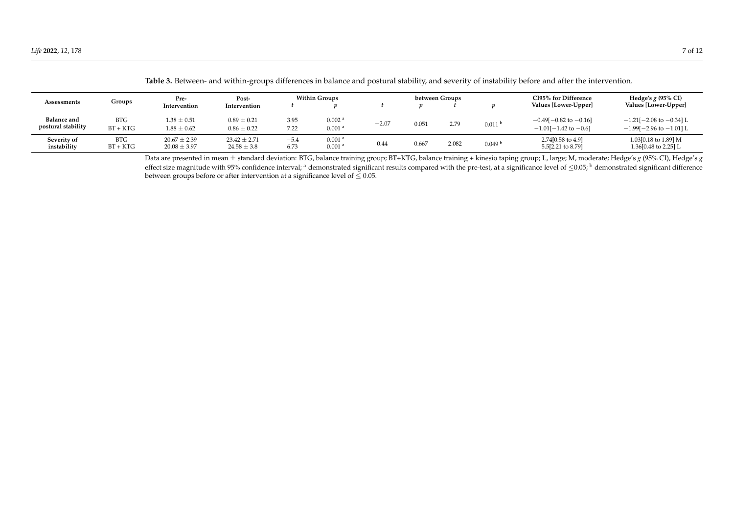| Assessments                              | Groups                   | Pre-                                 | Post-<br>Intervention<br>Intervention | <b>Within Groups</b> |                                            | between Groups |       |       |                    | CI95% for Difference                                                | Hedge's $g$ (95% CI)                                                   |
|------------------------------------------|--------------------------|--------------------------------------|---------------------------------------|----------------------|--------------------------------------------|----------------|-------|-------|--------------------|---------------------------------------------------------------------|------------------------------------------------------------------------|
|                                          |                          |                                      |                                       |                      |                                            |                |       |       |                    | Values [Lower-Upper]                                                | Values [Lower-Upper]                                                   |
| <b>Balance and</b><br>postural stability | <b>BTG</b><br>$BT + KTG$ | $1.38 \pm 0.51$<br>$1.88 \pm 0.62$   | $0.89 \pm 0.21$<br>$0.86 \pm 0.22$    | 3.95<br>7.22         | 0.002 <sup>a</sup><br>0.001 <sup>a</sup>   | $-2.07$        | 0.051 | 2.79  | 0.011 <sup>b</sup> | $-0.49[-0.82 \text{ to } -0.16]$<br>$-1.01[-1.42 \text{ to } -0.6]$ | $-1.21[-2.08 \text{ to } -0.34]$ L<br>$-1.99$ [ $-2.96$ to $-1.01$ ] L |
| Severity of<br>instability               | <b>BTG</b><br>$BT + KTG$ | $20.67 \pm 2.39$<br>$20.08 \pm 3.97$ | $23.42 \pm 2.71$<br>$24.58 \pm 3.8$   | $-5.4$<br>6.73       | 0.001 <sup>a</sup><br>$0.001$ <sup>a</sup> | 0.44           | 0.667 | 2.082 | 0.049 <sup>b</sup> | 2.74[0.58 to 4.9]<br>5.5[2.21 to 8.79]                              | 1.03[0.18 to 1.89] M<br>1.36[0.48 to 2.25] L                           |

**Table 3.** Between- and within-groups differences in balance and postural stability, and severity of instability before and after the intervention.

<span id="page-6-0"></span>Data are presented in mean ± standard deviation: BTG, balance training group; BT+KTG, balance training + kinesio taping group; L, large; M, moderate; Hedge's *g* (95% CI), Hedge's *g* effect size magnitude with 95% confidence interval; <sup>a</sup> demonstrated significant results compared with the pre-test, at a significance level of  $\leq 0.05$ ; <sup>b</sup> demonstrated significant difference between groups before or after intervention at a significance level of  $\leq 0.05$ .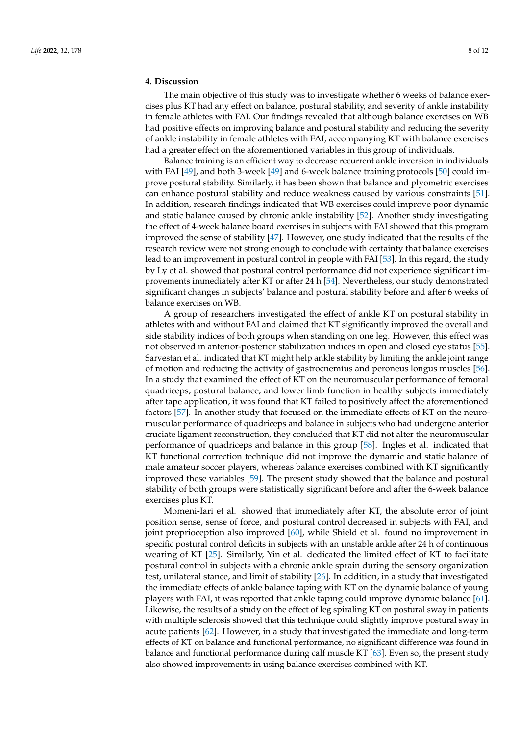# **4. Discussion**

The main objective of this study was to investigate whether 6 weeks of balance exercises plus KT had any effect on balance, postural stability, and severity of ankle instability in female athletes with FAI. Our findings revealed that although balance exercises on WB had positive effects on improving balance and postural stability and reducing the severity of ankle instability in female athletes with FAI, accompanying KT with balance exercises had a greater effect on the aforementioned variables in this group of individuals.

Balance training is an efficient way to decrease recurrent ankle inversion in individuals with FAI [\[49\]](#page-10-12), and both 3-week [\[49\]](#page-10-12) and 6-week balance training protocols [\[50\]](#page-10-13) could improve postural stability. Similarly, it has been shown that balance and plyometric exercises can enhance postural stability and reduce weakness caused by various constraints [\[51\]](#page-10-14). In addition, research findings indicated that WB exercises could improve poor dynamic and static balance caused by chronic ankle instability [\[52\]](#page-10-15). Another study investigating the effect of 4-week balance board exercises in subjects with FAI showed that this program improved the sense of stability [\[47\]](#page-10-10). However, one study indicated that the results of the research review were not strong enough to conclude with certainty that balance exercises lead to an improvement in postural control in people with FAI [\[53\]](#page-10-16). In this regard, the study by Ly et al. showed that postural control performance did not experience significant improvements immediately after KT or after 24 h [\[54\]](#page-10-17). Nevertheless, our study demonstrated significant changes in subjects' balance and postural stability before and after 6 weeks of balance exercises on WB.

A group of researchers investigated the effect of ankle KT on postural stability in athletes with and without FAI and claimed that KT significantly improved the overall and side stability indices of both groups when standing on one leg. However, this effect was not observed in anterior-posterior stabilization indices in open and closed eye status [\[55\]](#page-10-18). Sarvestan et al. indicated that KT might help ankle stability by limiting the ankle joint range of motion and reducing the activity of gastrocnemius and peroneus longus muscles [\[56\]](#page-10-19). In a study that examined the effect of KT on the neuromuscular performance of femoral quadriceps, postural balance, and lower limb function in healthy subjects immediately after tape application, it was found that KT failed to positively affect the aforementioned factors [\[57\]](#page-10-20). In another study that focused on the immediate effects of KT on the neuromuscular performance of quadriceps and balance in subjects who had undergone anterior cruciate ligament reconstruction, they concluded that KT did not alter the neuromuscular performance of quadriceps and balance in this group [\[58\]](#page-10-21). Ingles et al. indicated that KT functional correction technique did not improve the dynamic and static balance of male amateur soccer players, whereas balance exercises combined with KT significantly improved these variables [\[59\]](#page-10-22). The present study showed that the balance and postural stability of both groups were statistically significant before and after the 6-week balance exercises plus KT.

Momeni-Iari et al. showed that immediately after KT, the absolute error of joint position sense, sense of force, and postural control decreased in subjects with FAI, and joint proprioception also improved [\[60\]](#page-10-23), while Shield et al. found no improvement in specific postural control deficits in subjects with an unstable ankle after 24 h of continuous wearing of KT [\[25\]](#page-9-15). Similarly, Yin et al. dedicated the limited effect of KT to facilitate postural control in subjects with a chronic ankle sprain during the sensory organization test, unilateral stance, and limit of stability [\[26\]](#page-9-16). In addition, in a study that investigated the immediate effects of ankle balance taping with KT on the dynamic balance of young players with FAI, it was reported that ankle taping could improve dynamic balance [\[61\]](#page-10-24). Likewise, the results of a study on the effect of leg spiraling KT on postural sway in patients with multiple sclerosis showed that this technique could slightly improve postural sway in acute patients [\[62\]](#page-11-0). However, in a study that investigated the immediate and long-term effects of KT on balance and functional performance, no significant difference was found in balance and functional performance during calf muscle KT [\[63\]](#page-11-1). Even so, the present study also showed improvements in using balance exercises combined with KT.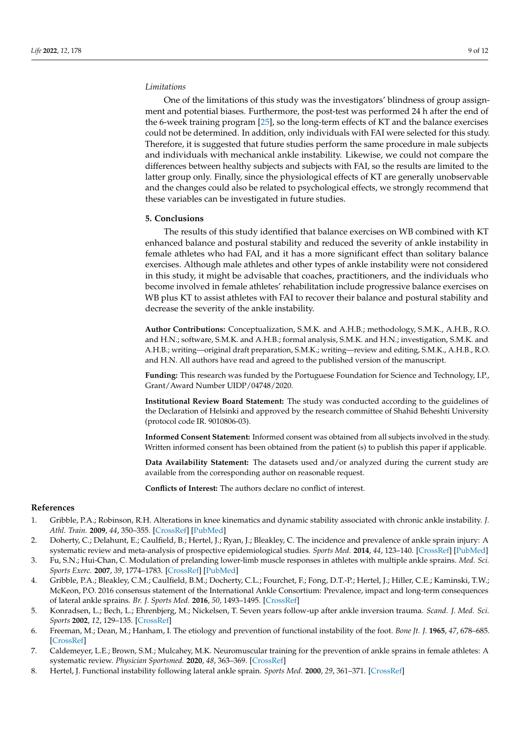# *Limitations*

One of the limitations of this study was the investigators' blindness of group assignment and potential biases. Furthermore, the post-test was performed 24 h after the end of the 6-week training program [\[25\]](#page-9-15), so the long-term effects of KT and the balance exercises could not be determined. In addition, only individuals with FAI were selected for this study. Therefore, it is suggested that future studies perform the same procedure in male subjects and individuals with mechanical ankle instability. Likewise, we could not compare the differences between healthy subjects and subjects with FAI, so the results are limited to the latter group only. Finally, since the physiological effects of KT are generally unobservable and the changes could also be related to psychological effects, we strongly recommend that these variables can be investigated in future studies.

# **5. Conclusions**

The results of this study identified that balance exercises on WB combined with KT enhanced balance and postural stability and reduced the severity of ankle instability in female athletes who had FAI, and it has a more significant effect than solitary balance exercises. Although male athletes and other types of ankle instability were not considered in this study, it might be advisable that coaches, practitioners, and the individuals who become involved in female athletes' rehabilitation include progressive balance exercises on WB plus KT to assist athletes with FAI to recover their balance and postural stability and decrease the severity of the ankle instability.

**Author Contributions:** Conceptualization, S.M.K. and A.H.B.; methodology, S.M.K., A.H.B., R.O. and H.N.; software, S.M.K. and A.H.B.; formal analysis, S.M.K. and H.N.; investigation, S.M.K. and A.H.B.; writing—original draft preparation, S.M.K.; writing—review and editing, S.M.K., A.H.B., R.O. and H.N. All authors have read and agreed to the published version of the manuscript.

**Funding:** This research was funded by the Portuguese Foundation for Science and Technology, I.P., Grant/Award Number UIDP/04748/2020.

**Institutional Review Board Statement:** The study was conducted according to the guidelines of the Declaration of Helsinki and approved by the research committee of Shahid Beheshti University (protocol code IR. 9010806-03).

**Informed Consent Statement:** Informed consent was obtained from all subjects involved in the study. Written informed consent has been obtained from the patient (s) to publish this paper if applicable.

**Data Availability Statement:** The datasets used and/or analyzed during the current study are available from the corresponding author on reasonable request.

**Conflicts of Interest:** The authors declare no conflict of interest.

#### **References**

- <span id="page-8-0"></span>1. Gribble, P.A.; Robinson, R.H. Alterations in knee kinematics and dynamic stability associated with chronic ankle instability. *J. Athl. Train.* **2009**, *44*, 350–355. [\[CrossRef\]](http://doi.org/10.4085/1062-6050-44.4.350) [\[PubMed\]](http://www.ncbi.nlm.nih.gov/pubmed/19593416)
- <span id="page-8-1"></span>2. Doherty, C.; Delahunt, E.; Caulfield, B.; Hertel, J.; Ryan, J.; Bleakley, C. The incidence and prevalence of ankle sprain injury: A systematic review and meta-analysis of prospective epidemiological studies. *Sports Med.* **2014**, *44*, 123–140. [\[CrossRef\]](http://doi.org/10.1007/s40279-013-0102-5) [\[PubMed\]](http://www.ncbi.nlm.nih.gov/pubmed/24105612)
- <span id="page-8-2"></span>3. Fu, S.N.; Hui-Chan, C. Modulation of prelanding lower-limb muscle responses in athletes with multiple ankle sprains. *Med. Sci. Sports Exerc.* **2007**, *39*, 1774–1783. [\[CrossRef\]](http://doi.org/10.1249/mss.0b013e3181343629) [\[PubMed\]](http://www.ncbi.nlm.nih.gov/pubmed/17909405)
- <span id="page-8-3"></span>4. Gribble, P.A.; Bleakley, C.M.; Caulfield, B.M.; Docherty, C.L.; Fourchet, F.; Fong, D.T.-P.; Hertel, J.; Hiller, C.E.; Kaminski, T.W.; McKeon, P.O. 2016 consensus statement of the International Ankle Consortium: Prevalence, impact and long-term consequences of lateral ankle sprains. *Br. J. Sports Med.* **2016**, *50*, 1493–1495. [\[CrossRef\]](http://doi.org/10.1136/bjsports-2016-096188)
- <span id="page-8-4"></span>5. Konradsen, L.; Bech, L.; Ehrenbjerg, M.; Nickelsen, T. Seven years follow-up after ankle inversion trauma. *Scand. J. Med. Sci. Sports* **2002**, *12*, 129–135. [\[CrossRef\]](http://doi.org/10.1034/j.1600-0838.2002.02104.x)
- <span id="page-8-5"></span>6. Freeman, M.; Dean, M.; Hanham, I. The etiology and prevention of functional instability of the foot. *Bone Jt. J.* **1965**, *47*, 678–685. [\[CrossRef\]](http://doi.org/10.1302/0301-620X.47B4.678)
- <span id="page-8-6"></span>7. Caldemeyer, L.E.; Brown, S.M.; Mulcahey, M.K. Neuromuscular training for the prevention of ankle sprains in female athletes: A systematic review. *Physician Sportsmed.* **2020**, *48*, 363–369. [\[CrossRef\]](http://doi.org/10.1080/00913847.2020.1732246)
- <span id="page-8-7"></span>8. Hertel, J. Functional instability following lateral ankle sprain. *Sports Med.* **2000**, *29*, 361–371. [\[CrossRef\]](http://doi.org/10.2165/00007256-200029050-00005)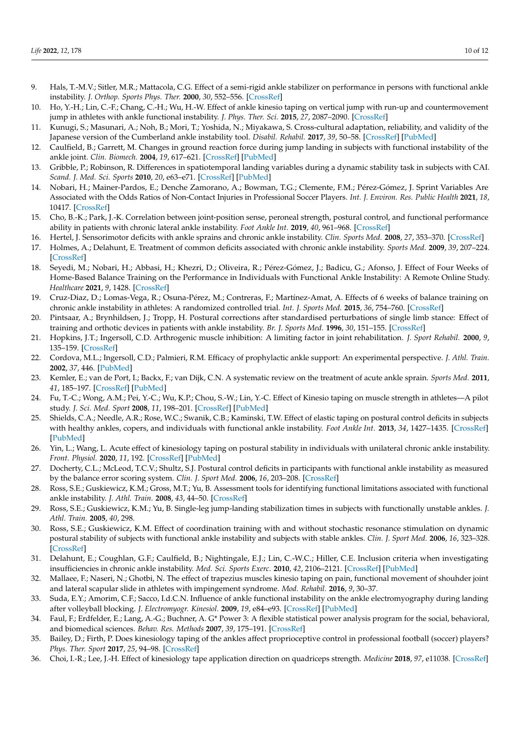- <span id="page-9-0"></span>9. Hals, T.-M.V.; Sitler, M.R.; Mattacola, C.G. Effect of a semi-rigid ankle stabilizer on performance in persons with functional ankle instability. *J. Orthop. Sports Phys. Ther.* **2000**, *30*, 552–556. [\[CrossRef\]](http://doi.org/10.2519/jospt.2000.30.9.552)
- <span id="page-9-1"></span>10. Ho, Y.-H.; Lin, C.-F.; Chang, C.-H.; Wu, H.-W. Effect of ankle kinesio taping on vertical jump with run-up and countermovement jump in athletes with ankle functional instability. *J. Phys. Ther. Sci.* **2015**, *27*, 2087–2090. [\[CrossRef\]](http://doi.org/10.1589/jpts.27.2087)
- <span id="page-9-2"></span>11. Kunugi, S.; Masunari, A.; Noh, B.; Mori, T.; Yoshida, N.; Miyakawa, S. Cross-cultural adaptation, reliability, and validity of the Japanese version of the Cumberland ankle instability tool. *Disabil. Rehabil.* **2017**, *39*, 50–58. [\[CrossRef\]](http://doi.org/10.3109/09638288.2016.1138555) [\[PubMed\]](http://www.ncbi.nlm.nih.gov/pubmed/26878332)
- <span id="page-9-3"></span>12. Caulfield, B.; Garrett, M. Changes in ground reaction force during jump landing in subjects with functional instability of the ankle joint. *Clin. Biomech.* **2004**, *19*, 617–621. [\[CrossRef\]](http://doi.org/10.1016/j.clinbiomech.2004.03.001) [\[PubMed\]](http://www.ncbi.nlm.nih.gov/pubmed/15234486)
- 13. Gribble, P.; Robinson, R. Differences in spatiotemporal landing variables during a dynamic stability task in subjects with CAI. *Scand. J. Med. Sci. Sports* **2010**, *20*, e63–e71. [\[CrossRef\]](http://doi.org/10.1111/j.1600-0838.2009.00899.x) [\[PubMed\]](http://www.ncbi.nlm.nih.gov/pubmed/19522752)
- <span id="page-9-4"></span>14. Nobari, H.; Mainer-Pardos, E.; Denche Zamorano, A.; Bowman, T.G.; Clemente, F.M.; Pérez-Gómez, J. Sprint Variables Are Associated with the Odds Ratios of Non-Contact Injuries in Professional Soccer Players. *Int. J. Environ. Res. Public Health* **2021**, *18*, 10417. [\[CrossRef\]](http://doi.org/10.3390/ijerph181910417)
- <span id="page-9-5"></span>15. Cho, B.-K.; Park, J.-K. Correlation between joint-position sense, peroneal strength, postural control, and functional performance ability in patients with chronic lateral ankle instability. *Foot Ankle Int.* **2019**, *40*, 961–968. [\[CrossRef\]](http://doi.org/10.1177/1071100719846114)
- <span id="page-9-6"></span>16. Hertel, J. Sensorimotor deficits with ankle sprains and chronic ankle instability. *Clin. Sports Med.* **2008**, *27*, 353–370. [\[CrossRef\]](http://doi.org/10.1016/j.csm.2008.03.006)
- <span id="page-9-7"></span>17. Holmes, A.; Delahunt, E. Treatment of common deficits associated with chronic ankle instability. *Sports Med.* **2009**, *39*, 207–224. [\[CrossRef\]](http://doi.org/10.2165/00007256-200939030-00003)
- <span id="page-9-8"></span>18. Seyedi, M.; Nobari, H.; Abbasi, H.; Khezri, D.; Oliveira, R.; Pérez-Gómez, J.; Badicu, G.; Afonso, J. Effect of Four Weeks of Home-Based Balance Training on the Performance in Individuals with Functional Ankle Instability: A Remote Online Study. *Healthcare* **2021**, *9*, 1428. [\[CrossRef\]](http://doi.org/10.3390/healthcare9111428)
- <span id="page-9-9"></span>19. Cruz-Diaz, D.; Lomas-Vega, R.; Osuna-Pérez, M.; Contreras, F.; Martínez-Amat, A. Effects of 6 weeks of balance training on chronic ankle instability in athletes: A randomized controlled trial. *Int. J. Sports Med.* **2015**, *36*, 754–760. [\[CrossRef\]](http://doi.org/10.1055/s-0034-1398645)
- <span id="page-9-10"></span>20. Pintsaar, A.; Brynhildsen, J.; Tropp, H. Postural corrections after standardised perturbations of single limb stance: Effect of training and orthotic devices in patients with ankle instability. *Br. J. Sports Med.* **1996**, *30*, 151–155. [\[CrossRef\]](http://doi.org/10.1136/bjsm.30.2.151)
- <span id="page-9-11"></span>21. Hopkins, J.T.; Ingersoll, C.D. Arthrogenic muscle inhibition: A limiting factor in joint rehabilitation. *J. Sport Rehabil.* **2000**, *9*, 135–159. [\[CrossRef\]](http://doi.org/10.1123/jsr.9.2.135)
- <span id="page-9-12"></span>22. Cordova, M.L.; Ingersoll, C.D.; Palmieri, R.M. Efficacy of prophylactic ankle support: An experimental perspective. *J. Athl. Train.* **2002**, *37*, 446. [\[PubMed\]](http://www.ncbi.nlm.nih.gov/pubmed/12937566)
- <span id="page-9-13"></span>23. Kemler, E.; van de Port, I.; Backx, F.; van Dijk, C.N. A systematic review on the treatment of acute ankle sprain. *Sports Med.* **2011**, *41*, 185–197. [\[CrossRef\]](http://doi.org/10.2165/11584370-000000000-00000) [\[PubMed\]](http://www.ncbi.nlm.nih.gov/pubmed/21395362)
- <span id="page-9-14"></span>24. Fu, T.-C.; Wong, A.M.; Pei, Y.-C.; Wu, K.P.; Chou, S.-W.; Lin, Y.-C. Effect of Kinesio taping on muscle strength in athletes—A pilot study. *J. Sci. Med. Sport* **2008**, *11*, 198–201. [\[CrossRef\]](http://doi.org/10.1016/j.jsams.2007.02.011) [\[PubMed\]](http://www.ncbi.nlm.nih.gov/pubmed/17588814)
- <span id="page-9-15"></span>25. Shields, C.A.; Needle, A.R.; Rose, W.C.; Swanik, C.B.; Kaminski, T.W. Effect of elastic taping on postural control deficits in subjects with healthy ankles, copers, and individuals with functional ankle instability. *Foot Ankle Int.* **2013**, *34*, 1427–1435. [\[CrossRef\]](http://doi.org/10.1177/1071100713491076) [\[PubMed\]](http://www.ncbi.nlm.nih.gov/pubmed/23720530)
- <span id="page-9-16"></span>26. Yin, L.; Wang, L. Acute effect of kinesiology taping on postural stability in individuals with unilateral chronic ankle instability. *Front. Physiol.* **2020**, *11*, 192. [\[CrossRef\]](http://doi.org/10.3389/fphys.2020.00192) [\[PubMed\]](http://www.ncbi.nlm.nih.gov/pubmed/32265726)
- <span id="page-9-17"></span>27. Docherty, C.L.; McLeod, T.C.V.; Shultz, S.J. Postural control deficits in participants with functional ankle instability as measured by the balance error scoring system. *Clin. J. Sport Med.* **2006**, *16*, 203–208. [\[CrossRef\]](http://doi.org/10.1097/00042752-200605000-00003)
- <span id="page-9-18"></span>28. Ross, S.E.; Guskiewicz, K.M.; Gross, M.T.; Yu, B. Assessment tools for identifying functional limitations associated with functional ankle instability. *J. Athl. Train.* **2008**, *43*, 44–50. [\[CrossRef\]](http://doi.org/10.4085/1062-6050-43.1.44)
- <span id="page-9-19"></span>29. Ross, S.E.; Guskiewicz, K.M.; Yu, B. Single-leg jump-landing stabilization times in subjects with functionally unstable ankles. *J. Athl. Train.* **2005**, *40*, 298.
- <span id="page-9-20"></span>30. Ross, S.E.; Guskiewicz, K.M. Effect of coordination training with and without stochastic resonance stimulation on dynamic postural stability of subjects with functional ankle instability and subjects with stable ankles. *Clin. J. Sport Med.* **2006**, *16*, 323–328. [\[CrossRef\]](http://doi.org/10.1097/00042752-200607000-00007)
- <span id="page-9-21"></span>31. Delahunt, E.; Coughlan, G.F.; Caulfield, B.; Nightingale, E.J.; Lin, C.-W.C.; Hiller, C.E. Inclusion criteria when investigating insufficiencies in chronic ankle instability. *Med. Sci. Sports Exerc.* **2010**, *42*, 2106–2121. [\[CrossRef\]](http://doi.org/10.1249/MSS.0b013e3181de7a8a) [\[PubMed\]](http://www.ncbi.nlm.nih.gov/pubmed/20351590)
- 32. Mallaee, F.; Naseri, N.; Ghotbi, N. The effect of trapezius muscles kinesio taping on pain, functional movement of shouhder joint and lateral scapular slide in athletes with impingement syndrome. *Mod. Rehabil.* **2016**, *9*, 30–37.
- <span id="page-9-22"></span>33. Suda, E.Y.; Amorim, C.F.; Sacco, I.d.C.N. Influence of ankle functional instability on the ankle electromyography during landing after volleyball blocking. *J. Electromyogr. Kinesiol.* **2009**, *19*, e84–e93. [\[CrossRef\]](http://doi.org/10.1016/j.jelekin.2007.10.007) [\[PubMed\]](http://www.ncbi.nlm.nih.gov/pubmed/18063386)
- <span id="page-9-23"></span>34. Faul, F.; Erdfelder, E.; Lang, A.-G.; Buchner, A. G\* Power 3: A flexible statistical power analysis program for the social, behavioral, and biomedical sciences. *Behav. Res. Methods* **2007**, *39*, 175–191. [\[CrossRef\]](http://doi.org/10.3758/BF03193146)
- <span id="page-9-24"></span>35. Bailey, D.; Firth, P. Does kinesiology taping of the ankles affect proprioceptive control in professional football (soccer) players? *Phys. Ther. Sport* **2017**, *25*, 94–98. [\[CrossRef\]](http://doi.org/10.1016/j.ptsp.2016.09.001)
- <span id="page-9-25"></span>36. Choi, I.-R.; Lee, J.-H. Effect of kinesiology tape application direction on quadriceps strength. *Medicine* **2018**, *97*, e11038. [\[CrossRef\]](http://doi.org/10.1097/MD.0000000000011038)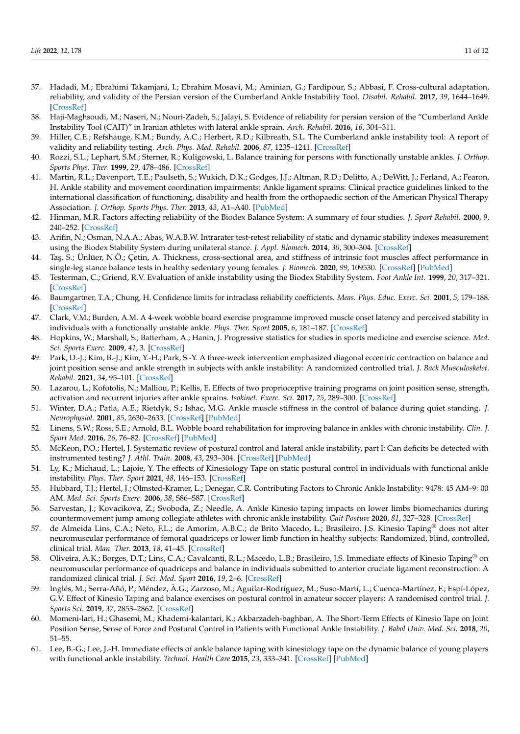- <span id="page-10-0"></span>37. Hadadi, M.; Ebrahimi Takamjani, I.; Ebrahim Mosavi, M.; Aminian, G.; Fardipour, S.; Abbasi, F. Cross-cultural adaptation, reliability, and validity of the Persian version of the Cumberland Ankle Instability Tool. *Disabil. Rehabil.* **2017**, *39*, 1644–1649. [\[CrossRef\]](http://doi.org/10.1080/09638288.2016.1207105)
- <span id="page-10-1"></span>38. Haji-Maghsoudi, M.; Naseri, N.; Nouri-Zadeh, S.; Jalayi, S. Evidence of reliability for persian version of the "Cumberland Ankle Instability Tool (CAIT)" in Iranian athletes with lateral ankle sprain. *Arch. Rehabil.* **2016**, *16*, 304–311.
- <span id="page-10-2"></span>39. Hiller, C.E.; Refshauge, K.M.; Bundy, A.C.; Herbert, R.D.; Kilbreath, S.L. The Cumberland ankle instability tool: A report of validity and reliability testing. *Arch. Phys. Med. Rehabil.* **2006**, *87*, 1235–1241. [\[CrossRef\]](http://doi.org/10.1016/j.apmr.2006.05.022)
- <span id="page-10-3"></span>40. Rozzi, S.L.; Lephart, S.M.; Sterner, R.; Kuligowski, L. Balance training for persons with functionally unstable ankles. *J. Orthop. Sports Phys. Ther.* **1999**, *29*, 478–486. [\[CrossRef\]](http://doi.org/10.2519/jospt.1999.29.8.478)
- <span id="page-10-4"></span>41. Martin, R.L.; Davenport, T.E.; Paulseth, S.; Wukich, D.K.; Godges, J.J.; Altman, R.D.; Delitto, A.; DeWitt, J.; Ferland, A.; Fearon, H. Ankle stability and movement coordination impairments: Ankle ligament sprains: Clinical practice guidelines linked to the international classification of functioning, disability and health from the orthopaedic section of the American Physical Therapy Association. *J. Orthop. Sports Phys. Ther.* **2013**, *43*, A1–A40. [\[PubMed\]](http://www.ncbi.nlm.nih.gov/pubmed/24313720)
- <span id="page-10-5"></span>42. Hinman, M.R. Factors affecting reliability of the Biodex Balance System: A summary of four studies. *J. Sport Rehabil.* **2000**, *9*, 240–252. [\[CrossRef\]](http://doi.org/10.1123/jsr.9.3.240)
- <span id="page-10-6"></span>43. Arifin, N.; Osman, N.A.A.; Abas, W.A.B.W. Intrarater test-retest reliability of static and dynamic stability indexes measurement using the Biodex Stability System during unilateral stance. *J. Appl. Biomech.* **2014**, *30*, 300–304. [\[CrossRef\]](http://doi.org/10.1123/jab.2013-0130)
- <span id="page-10-7"></span>44. Ta¸s, S.; Ünlüer, N.Ö.; Çetin, A. Thickness, cross-sectional area, and stiffness of intrinsic foot muscles affect performance in single-leg stance balance tests in healthy sedentary young females. *J. Biomech.* **2020**, *99*, 109530. [\[CrossRef\]](http://doi.org/10.1016/j.jbiomech.2019.109530) [\[PubMed\]](http://www.ncbi.nlm.nih.gov/pubmed/31785820)
- <span id="page-10-8"></span>45. Testerman, C.; Griend, R.V. Evaluation of ankle instability using the Biodex Stability System. *Foot Ankle Int.* **1999**, *20*, 317–321. [\[CrossRef\]](http://doi.org/10.1177/107110079902000510)
- <span id="page-10-9"></span>46. Baumgartner, T.A.; Chung, H. Confidence limits for intraclass reliability coefficients. *Meas. Phys. Educ. Exerc. Sci.* **2001**, *5*, 179–188. [\[CrossRef\]](http://doi.org/10.1207/S15327841MPEE0503_4)
- <span id="page-10-10"></span>47. Clark, V.M.; Burden, A.M. A 4-week wobble board exercise programme improved muscle onset latency and perceived stability in individuals with a functionally unstable ankle. *Phys. Ther. Sport* **2005**, *6*, 181–187. [\[CrossRef\]](http://doi.org/10.1016/j.ptsp.2005.08.003)
- <span id="page-10-11"></span>48. Hopkins, W.; Marshall, S.; Batterham, A.; Hanin, J. Progressive statistics for studies in sports medicine and exercise science. *Med. Sci. Sports Exerc.* **2009**, *41*, 3. [\[CrossRef\]](http://doi.org/10.1249/MSS.0b013e31818cb278)
- <span id="page-10-12"></span>49. Park, D.-J.; Kim, B.-J.; Kim, Y.-H.; Park, S.-Y. A three-week intervention emphasized diagonal eccentric contraction on balance and joint position sense and ankle strength in subjects with ankle instability: A randomized controlled trial. *J. Back Musculoskelet. Rehabil.* **2021**, *34*, 95–101. [\[CrossRef\]](http://doi.org/10.3233/BMR-200058)
- <span id="page-10-13"></span>50. Lazarou, L.; Kofotolis, N.; Malliou, P.; Kellis, E. Effects of two proprioceptive training programs on joint position sense, strength, activation and recurrent injuries after ankle sprains. *Isokinet. Exerc. Sci.* **2017**, *25*, 289–300. [\[CrossRef\]](http://doi.org/10.3233/IES-171146)
- <span id="page-10-14"></span>51. Winter, D.A.; Patla, A.E.; Rietdyk, S.; Ishac, M.G. Ankle muscle stiffness in the control of balance during quiet standing. *J. Neurophysiol.* **2001**, *85*, 2630–2633. [\[CrossRef\]](http://doi.org/10.1152/jn.2001.85.6.2630) [\[PubMed\]](http://www.ncbi.nlm.nih.gov/pubmed/11387407)
- <span id="page-10-15"></span>52. Linens, S.W.; Ross, S.E.; Arnold, B.L. Wobble board rehabilitation for improving balance in ankles with chronic instability. *Clin. J. Sport Med.* **2016**, *26*, 76–82. [\[CrossRef\]](http://doi.org/10.1097/JSM.0000000000000191) [\[PubMed\]](http://www.ncbi.nlm.nih.gov/pubmed/25831410)
- <span id="page-10-16"></span>53. McKeon, P.O.; Hertel, J. Systematic review of postural control and lateral ankle instability, part I: Can deficits be detected with instrumented testing? *J. Athl. Train.* **2008**, *43*, 293–304. [\[CrossRef\]](http://doi.org/10.4085/1062-6050-43.3.293) [\[PubMed\]](http://www.ncbi.nlm.nih.gov/pubmed/18523566)
- <span id="page-10-17"></span>54. Ly, K.; Michaud, L.; Lajoie, Y. The effects of Kinesiology Tape on static postural control in individuals with functional ankle instability. *Phys. Ther. Sport* **2021**, *48*, 146–153. [\[CrossRef\]](http://doi.org/10.1016/j.ptsp.2021.01.003)
- <span id="page-10-18"></span>55. Hubbard, T.J.; Hertel, J.; Olmsted-Kramer, L.; Denegar, C.R. Contributing Factors to Chronic Ankle Instability: 9478: 45 AM–9: 00 AM. *Med. Sci. Sports Exerc.* **2006**, *38*, S86–S87. [\[CrossRef\]](http://doi.org/10.1249/00005768-200605001-01266)
- <span id="page-10-19"></span>56. Sarvestan, J.; Kovacikova, Z.; Svoboda, Z.; Needle, A. Ankle Kinesio taping impacts on lower limbs biomechanics during countermovement jump among collegiate athletes with chronic ankle instability. *Gait Posture* **2020**, *81*, 327–328. [\[CrossRef\]](http://doi.org/10.1016/j.gaitpost.2020.08.060)
- <span id="page-10-20"></span>57. de Almeida Lins, C.A.; Neto, F.L.; de Amorim, A.B.C.; de Brito Macedo, L.; Brasileiro, J.S. Kinesio Taping<sup>®</sup> does not alter neuromuscular performance of femoral quadriceps or lower limb function in healthy subjects: Randomized, blind, controlled, clinical trial. *Man. Ther.* **2013**, *18*, 41–45. [\[CrossRef\]](http://doi.org/10.1016/j.math.2012.06.009)
- <span id="page-10-21"></span>58. Oliveira, A.K.; Borges, D.T.; Lins, C.A.; Cavalcanti, R.L.; Macedo, L.B.; Brasileiro, J.S. Immediate effects of Kinesio Taping<sup>®</sup> on neuromuscular performance of quadriceps and balance in individuals submitted to anterior cruciate ligament reconstruction: A randomized clinical trial. *J. Sci. Med. Sport* **2016**, *19*, 2–6. [\[CrossRef\]](http://doi.org/10.1016/j.jsams.2014.12.002)
- <span id="page-10-22"></span>59. Inglés, M.; Serra-Añó, P.; Méndez, À.G.; Zarzoso, M.; Aguilar-Rodríguez, M.; Suso-Martí, L.; Cuenca-Martínez, F.; Espí-López, G.V. Effect of Kinesio Taping and balance exercises on postural control in amateur soccer players: A randomised control trial. *J. Sports Sci.* **2019**, *37*, 2853–2862. [\[CrossRef\]](http://doi.org/10.1080/02640414.2019.1677016)
- <span id="page-10-23"></span>60. Momeni-lari, H.; Ghasemi, M.; Khademi-kalantari, K.; Akbarzadeh-baghban, A. The Short-Term Effects of Kinesio Tape on Joint Position Sense, Sense of Force and Postural Control in Patients with Functional Ankle Instability. *J. Babol Univ. Med. Sci.* **2018**, *20*, 51–55.
- <span id="page-10-24"></span>61. Lee, B.-G.; Lee, J.-H. Immediate effects of ankle balance taping with kinesiology tape on the dynamic balance of young players with functional ankle instability. *Technol. Health Care* **2015**, *23*, 333–341. [\[CrossRef\]](http://doi.org/10.3233/THC-150902) [\[PubMed\]](http://www.ncbi.nlm.nih.gov/pubmed/25735310)